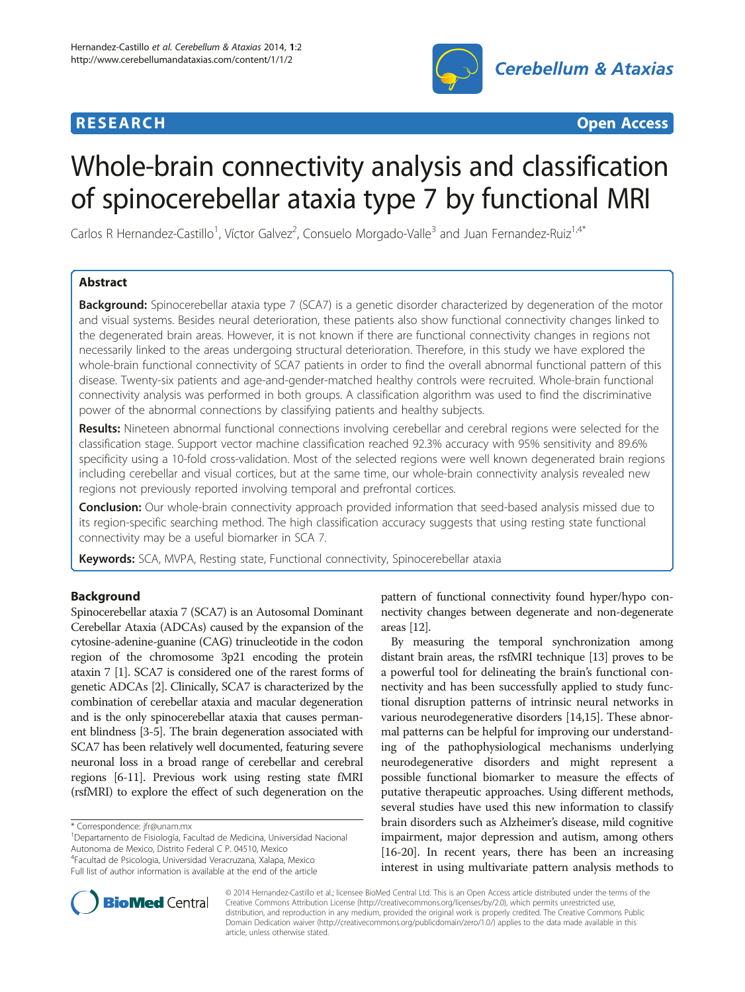

# Whole-brain connectivity analysis and classification of spinocerebellar ataxia type 7 by functional MRI

Carlos R Hernandez-Castillo<sup>1</sup>, Víctor Galvez<sup>2</sup>, Consuelo Morgado-Valle<sup>3</sup> and Juan Fernandez-Ruiz<sup>1,4\*</sup>

# Abstract

Background: Spinocerebellar ataxia type 7 (SCA7) is a genetic disorder characterized by degeneration of the motor and visual systems. Besides neural deterioration, these patients also show functional connectivity changes linked to the degenerated brain areas. However, it is not known if there are functional connectivity changes in regions not necessarily linked to the areas undergoing structural deterioration. Therefore, in this study we have explored the whole-brain functional connectivity of SCA7 patients in order to find the overall abnormal functional pattern of this disease. Twenty-six patients and age-and-gender-matched healthy controls were recruited. Whole-brain functional connectivity analysis was performed in both groups. A classification algorithm was used to find the discriminative power of the abnormal connections by classifying patients and healthy subjects.

Results: Nineteen abnormal functional connections involving cerebellar and cerebral regions were selected for the classification stage. Support vector machine classification reached 92.3% accuracy with 95% sensitivity and 89.6% specificity using a 10-fold cross-validation. Most of the selected regions were well known degenerated brain regions including cerebellar and visual cortices, but at the same time, our whole-brain connectivity analysis revealed new regions not previously reported involving temporal and prefrontal cortices.

Conclusion: Our whole-brain connectivity approach provided information that seed-based analysis missed due to its region-specific searching method. The high classification accuracy suggests that using resting state functional connectivity may be a useful biomarker in SCA 7.

Keywords: SCA, MVPA, Resting state, Functional connectivity, Spinocerebellar ataxia

# Background

Spinocerebellar ataxia 7 (SCA7) is an Autosomal Dominant Cerebellar Ataxia (ADCAs) caused by the expansion of the cytosine-adenine-guanine (CAG) trinucleotide in the codon region of the chromosome 3p21 encoding the protein ataxin 7 [\[1](#page-5-0)]. SCA7 is considered one of the rarest forms of genetic ADCAs [\[2\]](#page-5-0). Clinically, SCA7 is characterized by the combination of cerebellar ataxia and macular degeneration and is the only spinocerebellar ataxia that causes permanent blindness [[3](#page-5-0)-[5](#page-5-0)]. The brain degeneration associated with SCA7 has been relatively well documented, featuring severe neuronal loss in a broad range of cerebellar and cerebral regions [\[6-](#page-5-0)[11](#page-6-0)]. Previous work using resting state fMRI (rsfMRI) to explore the effect of such degeneration on the

\* Correspondence: [jfr@unam.mx](mailto:jfr@unam.mx) <sup>1</sup>

Departamento de Fisiología, Facultad de Medicina, Universidad Nacional Autonoma de Mexico, Distrito Federal C P. 04510, Mexico

4 Facultad de Psicologia, Universidad Veracruzana, Xalapa, Mexico Full list of author information is available at the end of the article

pattern of functional connectivity found hyper/hypo connectivity changes between degenerate and non-degenerate areas [\[12\]](#page-6-0).

By measuring the temporal synchronization among distant brain areas, the rsfMRI technique [[13](#page-6-0)] proves to be a powerful tool for delineating the brain's functional connectivity and has been successfully applied to study functional disruption patterns of intrinsic neural networks in various neurodegenerative disorders [[14,15\]](#page-6-0). These abnormal patterns can be helpful for improving our understanding of the pathophysiological mechanisms underlying neurodegenerative disorders and might represent a possible functional biomarker to measure the effects of putative therapeutic approaches. Using different methods, several studies have used this new information to classify brain disorders such as Alzheimer's disease, mild cognitive impairment, major depression and autism, among others [[16](#page-6-0)-[20\]](#page-6-0). In recent years, there has been an increasing interest in using multivariate pattern analysis methods to



© 2014 Hernandez-Castillo et al.; licensee BioMed Central Ltd. This is an Open Access article distributed under the terms of the Creative Commons Attribution License (<http://creativecommons.org/licenses/by/2.0>), which permits unrestricted use, distribution, and reproduction in any medium, provided the original work is properly credited. The Creative Commons Public Domain Dedication waiver [\(http://creativecommons.org/publicdomain/zero/1.0/\)](http://creativecommons.org/publicdomain/zero/1.0/) applies to the data made available in this article, unless otherwise stated.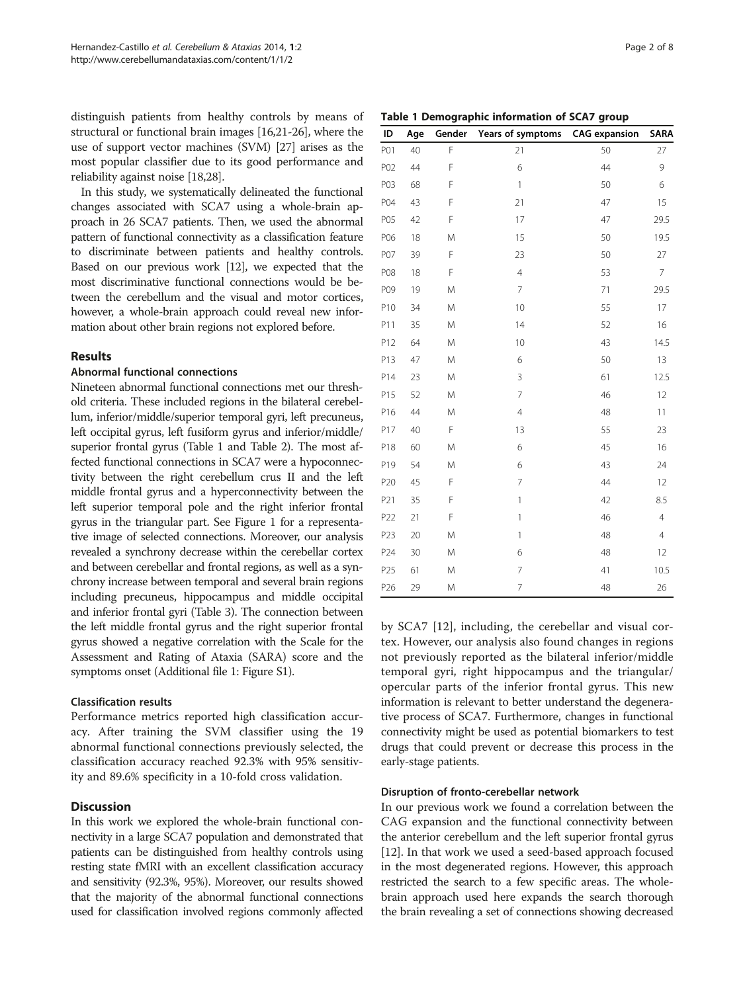<span id="page-1-0"></span>distinguish patients from healthy controls by means of structural or functional brain images [[16,21](#page-6-0)-[26](#page-6-0)], where the use of support vector machines (SVM) [[27](#page-6-0)] arises as the most popular classifier due to its good performance and reliability against noise [\[18,28](#page-6-0)].

In this study, we systematically delineated the functional changes associated with SCA7 using a whole-brain approach in 26 SCA7 patients. Then, we used the abnormal pattern of functional connectivity as a classification feature to discriminate between patients and healthy controls. Based on our previous work [[12\]](#page-6-0), we expected that the most discriminative functional connections would be between the cerebellum and the visual and motor cortices, however, a whole-brain approach could reveal new information about other brain regions not explored before.

# Results

# Abnormal functional connections

Nineteen abnormal functional connections met our threshold criteria. These included regions in the bilateral cerebellum, inferior/middle/superior temporal gyri, left precuneus, left occipital gyrus, left fusiform gyrus and inferior/middle/ superior frontal gyrus (Table 1 and Table [2\)](#page-2-0). The most affected functional connections in SCA7 were a hypoconnectivity between the right cerebellum crus II and the left middle frontal gyrus and a hyperconnectivity between the left superior temporal pole and the right inferior frontal gyrus in the triangular part. See Figure [1](#page-3-0) for a representative image of selected connections. Moreover, our analysis revealed a synchrony decrease within the cerebellar cortex and between cerebellar and frontal regions, as well as a synchrony increase between temporal and several brain regions including precuneus, hippocampus and middle occipital and inferior frontal gyri (Table [3\)](#page-4-0). The connection between the left middle frontal gyrus and the right superior frontal gyrus showed a negative correlation with the Scale for the Assessment and Rating of Ataxia (SARA) score and the symptoms onset (Additional file [1](#page-5-0): Figure S1).

# Classification results

Performance metrics reported high classification accuracy. After training the SVM classifier using the 19 abnormal functional connections previously selected, the classification accuracy reached 92.3% with 95% sensitivity and 89.6% specificity in a 10-fold cross validation.

# **Discussion**

In this work we explored the whole-brain functional connectivity in a large SCA7 population and demonstrated that patients can be distinguished from healthy controls using resting state fMRI with an excellent classification accuracy and sensitivity (92.3%, 95%). Moreover, our results showed that the majority of the abnormal functional connections used for classification involved regions commonly affected

|  |  | Table 1 Demographic information of SCA7 group |  |  |  |  |
|--|--|-----------------------------------------------|--|--|--|--|
|--|--|-----------------------------------------------|--|--|--|--|

| ID               | Age | Gender | Years of symptoms | <b>CAG</b> expansion | <b>SARA</b>    |
|------------------|-----|--------|-------------------|----------------------|----------------|
| P <sub>0</sub> 1 | 40  | F      | 21                | 50                   | 27             |
| P02              | 44  | F      | 6                 | 44                   | 9              |
| P03              | 68  | F      | $\mathbf{1}$      | 50                   | 6              |
| P04              | 43  | F      | 21                | 47                   | 15             |
| P05              | 42  | F      | 17                | 47                   | 29.5           |
| P06              | 18  | M      | 15                | 50                   | 19.5           |
| P07              | 39  | F      | 23                | 50                   | 27             |
| P08              | 18  | F      | $\overline{4}$    | 53                   | $\overline{7}$ |
| P09              | 19  | M      | $\overline{7}$    | 71                   | 29.5           |
| P10              | 34  | M      | 10                | 55                   | 17             |
| P11              | 35  | M      | 14                | 52                   | 16             |
| P12              | 64  | M      | 10                | 43                   | 14.5           |
| P13              | 47  | M      | 6                 | 50                   | 13             |
| P14              | 23  | M      | 3                 | 61                   | 12.5           |
| P15              | 52  | M      | $\overline{7}$    | 46                   | 12             |
| P16              | 44  | M      | $\overline{4}$    | 48                   | 11             |
| P17              | 40  | F      | 13                | 55                   | 23             |
| P18              | 60  | M      | 6                 | 45                   | 16             |
| P19              | 54  | M      | 6                 | 43                   | 24             |
| P20              | 45  | F      | $\overline{7}$    | 44                   | 12             |
| P21              | 35  | F      | $\mathbf{1}$      | 42                   | 8.5            |
| P22              | 21  | F      | $\mathbf{1}$      | 46                   | $\overline{4}$ |
| P23              | 20  | M      | $\mathbf{1}$      | 48                   | $\overline{4}$ |
| P24              | 30  | M      | 6                 | 48                   | 12             |
| P25              | 61  | M      | $\overline{7}$    | 41                   | 10.5           |
| P <sub>26</sub>  | 29  | M      | $\overline{7}$    | 48                   | 26             |

by SCA7 [\[12](#page-6-0)], including, the cerebellar and visual cortex. However, our analysis also found changes in regions not previously reported as the bilateral inferior/middle temporal gyri, right hippocampus and the triangular/ opercular parts of the inferior frontal gyrus. This new information is relevant to better understand the degenerative process of SCA7. Furthermore, changes in functional connectivity might be used as potential biomarkers to test drugs that could prevent or decrease this process in the early-stage patients.

# Disruption of fronto-cerebellar network

In our previous work we found a correlation between the CAG expansion and the functional connectivity between the anterior cerebellum and the left superior frontal gyrus [[12](#page-6-0)]. In that work we used a seed-based approach focused in the most degenerated regions. However, this approach restricted the search to a few specific areas. The wholebrain approach used here expands the search thorough the brain revealing a set of connections showing decreased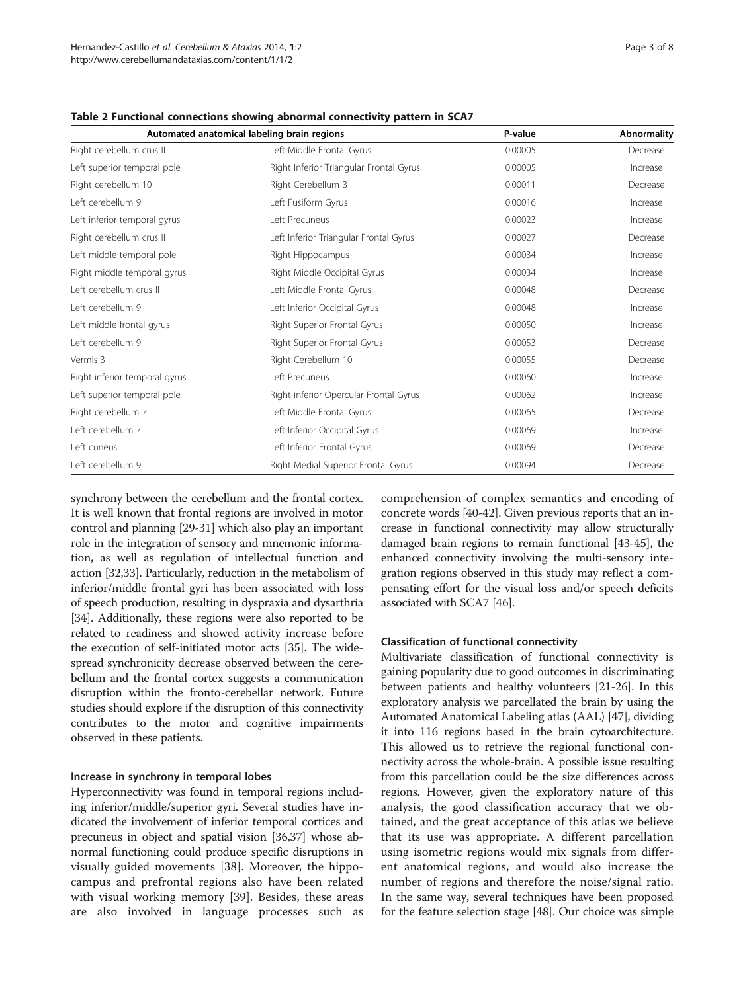| Automated anatomical labeling brain regions | P-value                                 | Abnormality |          |
|---------------------------------------------|-----------------------------------------|-------------|----------|
| Right cerebellum crus II                    | Left Middle Frontal Gyrus               | 0.00005     | Decrease |
| Left superior temporal pole                 | Right Inferior Triangular Frontal Gyrus | 0.00005     | Increase |
| Right cerebellum 10                         | Right Cerebellum 3                      | 0.00011     | Decrease |
| Left cerebellum 9                           | Left Fusiform Gyrus                     | 0.00016     | Increase |
| Left inferior temporal gyrus                | Left Precuneus                          | 0.00023     | Increase |
| Right cerebellum crus II                    | Left Inferior Triangular Frontal Gyrus  | 0.00027     | Decrease |
| Left middle temporal pole                   | Right Hippocampus                       | 0.00034     | Increase |
| Right middle temporal gyrus                 | Right Middle Occipital Gyrus            | 0.00034     | Increase |
| Left cerebellum crus II                     | Left Middle Frontal Gyrus               | 0.00048     | Decrease |
| Left cerebellum 9                           | Left Inferior Occipital Gyrus           | 0.00048     | Increase |
| Left middle frontal gyrus                   | Right Superior Frontal Gyrus            | 0.00050     | Increase |
| Left cerebellum 9                           | Right Superior Frontal Gyrus            | 0.00053     | Decrease |
| Vermis 3                                    | Right Cerebellum 10                     | 0.00055     | Decrease |
| Right inferior temporal gyrus               | Left Precuneus                          | 0.00060     | Increase |
| Left superior temporal pole                 | Right inferior Opercular Frontal Gyrus  | 0.00062     | Increase |
| Right cerebellum 7                          | Left Middle Frontal Gyrus               | 0.00065     | Decrease |
| Left cerebellum 7                           | Left Inferior Occipital Gyrus           | 0.00069     | Increase |
| Left cuneus                                 | Left Inferior Frontal Gyrus             | 0.00069     | Decrease |
| Left cerebellum 9                           | Right Medial Superior Frontal Gyrus     | 0.00094     | Decrease |

<span id="page-2-0"></span>Table 2 Functional connections showing abnormal connectivity pattern in SCA7

synchrony between the cerebellum and the frontal cortex. It is well known that frontal regions are involved in motor control and planning [\[29-31\]](#page-6-0) which also play an important role in the integration of sensory and mnemonic information, as well as regulation of intellectual function and action [\[32,33](#page-6-0)]. Particularly, reduction in the metabolism of inferior/middle frontal gyri has been associated with loss of speech production, resulting in dyspraxia and dysarthria [[34](#page-6-0)]. Additionally, these regions were also reported to be related to readiness and showed activity increase before the execution of self-initiated motor acts [\[35\]](#page-6-0). The widespread synchronicity decrease observed between the cerebellum and the frontal cortex suggests a communication disruption within the fronto-cerebellar network. Future studies should explore if the disruption of this connectivity contributes to the motor and cognitive impairments observed in these patients.

# Increase in synchrony in temporal lobes

Hyperconnectivity was found in temporal regions including inferior/middle/superior gyri. Several studies have indicated the involvement of inferior temporal cortices and precuneus in object and spatial vision [\[36,37\]](#page-6-0) whose abnormal functioning could produce specific disruptions in visually guided movements [\[38\]](#page-6-0). Moreover, the hippocampus and prefrontal regions also have been related with visual working memory [[39\]](#page-6-0). Besides, these areas are also involved in language processes such as

comprehension of complex semantics and encoding of concrete words [[40-42\]](#page-6-0). Given previous reports that an increase in functional connectivity may allow structurally damaged brain regions to remain functional [\[43-45\]](#page-6-0), the enhanced connectivity involving the multi-sensory integration regions observed in this study may reflect a compensating effort for the visual loss and/or speech deficits associated with SCA7 [[46](#page-6-0)].

# Classification of functional connectivity

Multivariate classification of functional connectivity is gaining popularity due to good outcomes in discriminating between patients and healthy volunteers [\[21-26\]](#page-6-0). In this exploratory analysis we parcellated the brain by using the Automated Anatomical Labeling atlas (AAL) [\[47\]](#page-6-0), dividing it into 116 regions based in the brain cytoarchitecture. This allowed us to retrieve the regional functional connectivity across the whole-brain. A possible issue resulting from this parcellation could be the size differences across regions. However, given the exploratory nature of this analysis, the good classification accuracy that we obtained, and the great acceptance of this atlas we believe that its use was appropriate. A different parcellation using isometric regions would mix signals from different anatomical regions, and would also increase the number of regions and therefore the noise/signal ratio. In the same way, several techniques have been proposed for the feature selection stage [\[48\]](#page-6-0). Our choice was simple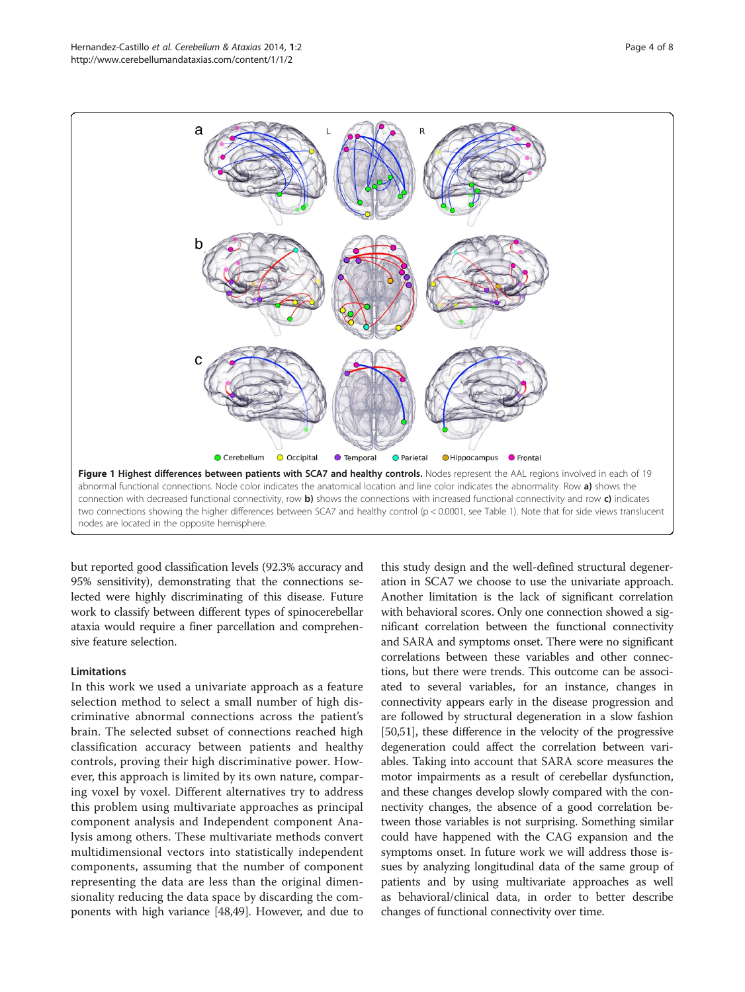<span id="page-3-0"></span>

but reported good classification levels (92.3% accuracy and 95% sensitivity), demonstrating that the connections selected were highly discriminating of this disease. Future work to classify between different types of spinocerebellar ataxia would require a finer parcellation and comprehensive feature selection.

# Limitations

In this work we used a univariate approach as a feature selection method to select a small number of high discriminative abnormal connections across the patient's brain. The selected subset of connections reached high classification accuracy between patients and healthy controls, proving their high discriminative power. However, this approach is limited by its own nature, comparing voxel by voxel. Different alternatives try to address this problem using multivariate approaches as principal component analysis and Independent component Analysis among others. These multivariate methods convert multidimensional vectors into statistically independent components, assuming that the number of component representing the data are less than the original dimensionality reducing the data space by discarding the components with high variance [\[48,49\]](#page-6-0). However, and due to

this study design and the well-defined structural degeneration in SCA7 we choose to use the univariate approach. Another limitation is the lack of significant correlation with behavioral scores. Only one connection showed a significant correlation between the functional connectivity and SARA and symptoms onset. There were no significant correlations between these variables and other connections, but there were trends. This outcome can be associated to several variables, for an instance, changes in connectivity appears early in the disease progression and are followed by structural degeneration in a slow fashion [[50,51](#page-6-0)], these difference in the velocity of the progressive degeneration could affect the correlation between variables. Taking into account that SARA score measures the motor impairments as a result of cerebellar dysfunction, and these changes develop slowly compared with the connectivity changes, the absence of a good correlation between those variables is not surprising. Something similar could have happened with the CAG expansion and the symptoms onset. In future work we will address those issues by analyzing longitudinal data of the same group of patients and by using multivariate approaches as well as behavioral/clinical data, in order to better describe changes of functional connectivity over time.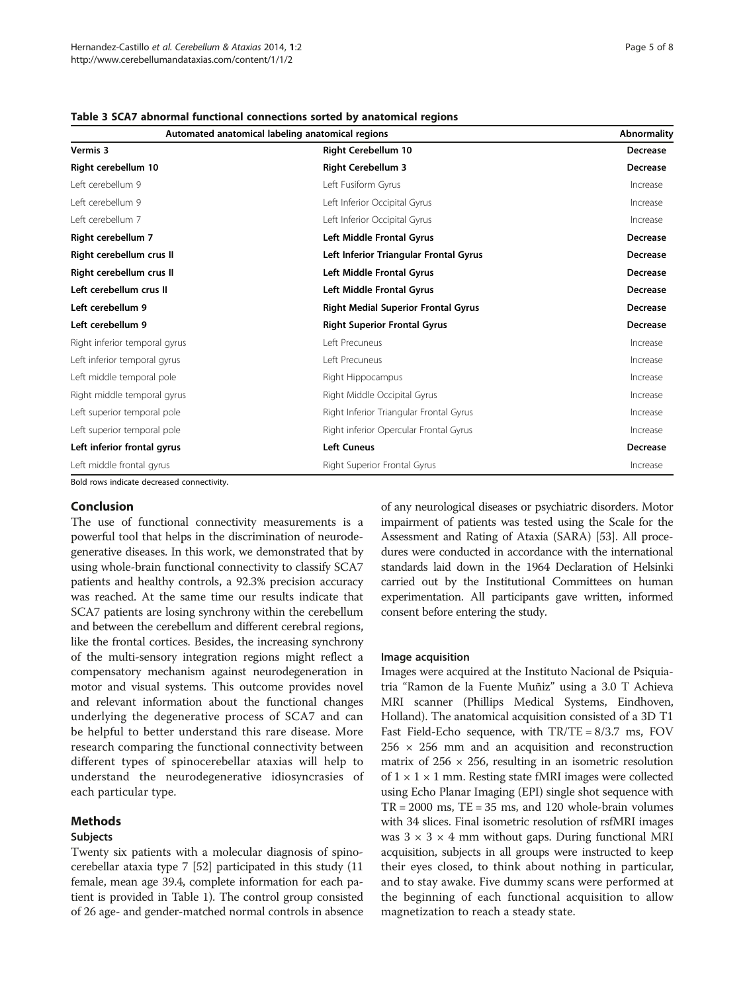|                               | Automated anatomical labeling anatomical regions | Abnormality     |
|-------------------------------|--------------------------------------------------|-----------------|
| Vermis 3                      | <b>Right Cerebellum 10</b>                       | Decrease        |
| Right cerebellum 10           | <b>Right Cerebellum 3</b>                        | <b>Decrease</b> |
| Left cerebellum 9             | Left Fusiform Gyrus                              | Increase        |
| Left cerebellum 9             | Left Inferior Occipital Gyrus                    | Increase        |
| Left cerebellum 7             | Left Inferior Occipital Gyrus                    | Increase        |
| Right cerebellum 7            | Left Middle Frontal Gyrus                        | <b>Decrease</b> |
| Right cerebellum crus II      | Left Inferior Triangular Frontal Gyrus           | <b>Decrease</b> |
| Right cerebellum crus II      | Left Middle Frontal Gyrus                        | <b>Decrease</b> |
| Left cerebellum crus II       | Left Middle Frontal Gyrus                        | <b>Decrease</b> |
| Left cerebellum 9             | <b>Right Medial Superior Frontal Gyrus</b>       | <b>Decrease</b> |
| Left cerebellum 9             | <b>Right Superior Frontal Gyrus</b>              | <b>Decrease</b> |
| Right inferior temporal gyrus | Left Precuneus                                   | Increase        |
| Left inferior temporal gyrus  | Left Precuneus                                   | Increase        |
| Left middle temporal pole     | Right Hippocampus                                | Increase        |
| Right middle temporal gyrus   | Right Middle Occipital Gyrus                     | Increase        |
| Left superior temporal pole   | Right Inferior Triangular Frontal Gyrus          | Increase        |
| Left superior temporal pole   | Right inferior Opercular Frontal Gyrus           | Increase        |
| Left inferior frontal gyrus   | <b>Left Cuneus</b>                               | <b>Decrease</b> |
| Left middle frontal gyrus     | Right Superior Frontal Gyrus                     | Increase        |

<span id="page-4-0"></span>Table 3 SCA7 abnormal functional connections sorted by anatomical regions

Bold rows indicate decreased connectivity.

# Conclusion

The use of functional connectivity measurements is a powerful tool that helps in the discrimination of neurodegenerative diseases. In this work, we demonstrated that by using whole-brain functional connectivity to classify SCA7 patients and healthy controls, a 92.3% precision accuracy was reached. At the same time our results indicate that SCA7 patients are losing synchrony within the cerebellum and between the cerebellum and different cerebral regions, like the frontal cortices. Besides, the increasing synchrony of the multi-sensory integration regions might reflect a compensatory mechanism against neurodegeneration in motor and visual systems. This outcome provides novel and relevant information about the functional changes underlying the degenerative process of SCA7 and can be helpful to better understand this rare disease. More research comparing the functional connectivity between different types of spinocerebellar ataxias will help to understand the neurodegenerative idiosyncrasies of each particular type.

# Methods

# Subjects

Twenty six patients with a molecular diagnosis of spinocerebellar ataxia type 7 [\[52\]](#page-6-0) participated in this study (11 female, mean age 39.4, complete information for each patient is provided in Table [1\)](#page-1-0). The control group consisted of 26 age- and gender-matched normal controls in absence of any neurological diseases or psychiatric disorders. Motor impairment of patients was tested using the Scale for the Assessment and Rating of Ataxia (SARA) [[53\]](#page-6-0). All procedures were conducted in accordance with the international standards laid down in the 1964 Declaration of Helsinki carried out by the Institutional Committees on human experimentation. All participants gave written, informed consent before entering the study.

### Image acquisition

Images were acquired at the Instituto Nacional de Psiquiatria "Ramon de la Fuente Muñiz" using a 3.0 T Achieva MRI scanner (Phillips Medical Systems, Eindhoven, Holland). The anatomical acquisition consisted of a 3D T1 Fast Field-Echo sequence, with  $TR/TE = 8/3.7$  ms, FOV  $256 \times 256$  mm and an acquisition and reconstruction matrix of  $256 \times 256$ , resulting in an isometric resolution of  $1 \times 1 \times 1$  mm. Resting state fMRI images were collected using Echo Planar Imaging (EPI) single shot sequence with  $TR = 2000$  ms,  $TE = 35$  ms, and 120 whole-brain volumes with 34 slices. Final isometric resolution of rsfMRI images was  $3 \times 3 \times 4$  mm without gaps. During functional MRI acquisition, subjects in all groups were instructed to keep their eyes closed, to think about nothing in particular, and to stay awake. Five dummy scans were performed at the beginning of each functional acquisition to allow magnetization to reach a steady state.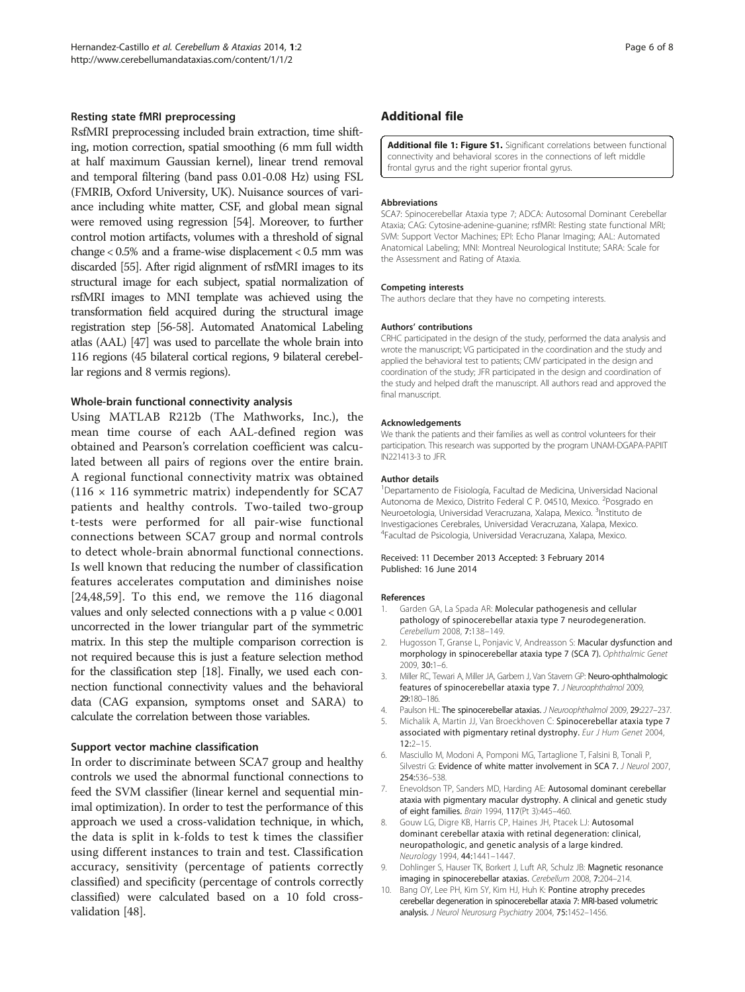# <span id="page-5-0"></span>Resting state fMRI preprocessing

RsfMRI preprocessing included brain extraction, time shifting, motion correction, spatial smoothing (6 mm full width at half maximum Gaussian kernel), linear trend removal and temporal filtering (band pass 0.01-0.08 Hz) using FSL (FMRIB, Oxford University, UK). Nuisance sources of variance including white matter, CSF, and global mean signal were removed using regression [\[54\]](#page-6-0). Moreover, to further control motion artifacts, volumes with a threshold of signal change < 0.5% and a frame-wise displacement < 0.5 mm was discarded [\[55](#page-6-0)]. After rigid alignment of rsfMRI images to its structural image for each subject, spatial normalization of rsfMRI images to MNI template was achieved using the transformation field acquired during the structural image registration step [\[56-](#page-6-0)[58](#page-7-0)]. Automated Anatomical Labeling atlas (AAL) [\[47\]](#page-6-0) was used to parcellate the whole brain into 116 regions (45 bilateral cortical regions, 9 bilateral cerebellar regions and 8 vermis regions).

## Whole-brain functional connectivity analysis

Using MATLAB R212b (The Mathworks, Inc.), the mean time course of each AAL-defined region was obtained and Pearson's correlation coefficient was calculated between all pairs of regions over the entire brain. A regional functional connectivity matrix was obtained  $(116 \times 116$  symmetric matrix) independently for SCA7 patients and healthy controls. Two-tailed two-group t-tests were performed for all pair-wise functional connections between SCA7 group and normal controls to detect whole-brain abnormal functional connections. Is well known that reducing the number of classification features accelerates computation and diminishes noise [[24,48](#page-6-0)[,59\]](#page-7-0). To this end, we remove the 116 diagonal values and only selected connections with a p value < 0.001 uncorrected in the lower triangular part of the symmetric matrix. In this step the multiple comparison correction is not required because this is just a feature selection method for the classification step [\[18\]](#page-6-0). Finally, we used each connection functional connectivity values and the behavioral data (CAG expansion, symptoms onset and SARA) to calculate the correlation between those variables.

# Support vector machine classification

In order to discriminate between SCA7 group and healthy controls we used the abnormal functional connections to feed the SVM classifier (linear kernel and sequential minimal optimization). In order to test the performance of this approach we used a cross-validation technique, in which, the data is split in k-folds to test k times the classifier using different instances to train and test. Classification accuracy, sensitivity (percentage of patients correctly classified) and specificity (percentage of controls correctly classified) were calculated based on a 10 fold crossvalidation [[48](#page-6-0)].

# Additional file

[Additional file 1: Figure S1.](http://www.biomedcentral.com/content/supplementary/2053-8871-1-2-S1.pdf) Significant correlations between functional connectivity and behavioral scores in the connections of left middle frontal gyrus and the right superior frontal gyrus.

#### **Abbreviations**

SCA7: Spinocerebellar Ataxia type 7; ADCA: Autosomal Dominant Cerebellar Ataxia; CAG: Cytosine-adenine-guanine; rsfMRI: Resting state functional MRI; SVM: Support Vector Machines; EPI: Echo Planar Imaging; AAL: Automated Anatomical Labeling; MNI: Montreal Neurological Institute; SARA: Scale for the Assessment and Rating of Ataxia.

#### Competing interests

The authors declare that they have no competing interests.

#### Authors' contributions

CRHC participated in the design of the study, performed the data analysis and wrote the manuscript; VG participated in the coordination and the study and applied the behavioral test to patients; CMV participated in the design and coordination of the study; JFR participated in the design and coordination of the study and helped draft the manuscript. All authors read and approved the final manuscript.

#### Acknowledgements

We thank the patients and their families as well as control volunteers for their participation. This research was supported by the program UNAM-DGAPA-PAPIIT IN221413-3 to JFR.

#### Author details

<sup>1</sup>Departamento de Fisiología, Facultad de Medicina, Universidad Nacional Autonoma de Mexico, Distrito Federal C P. 04510, Mexico. <sup>2</sup>Posgrado en Neuroetologia, Universidad Veracruzana, Xalapa, Mexico. <sup>3</sup>Instituto de Investigaciones Cerebrales, Universidad Veracruzana, Xalapa, Mexico. 4 Facultad de Psicologia, Universidad Veracruzana, Xalapa, Mexico.

#### Received: 11 December 2013 Accepted: 3 February 2014 Published: 16 June 2014

#### References

- 1. Garden GA, La Spada AR: Molecular pathogenesis and cellular pathology of spinocerebellar ataxia type 7 neurodegeneration. Cerebellum 2008, 7:138–149.
- 2. Hugosson T, Granse L, Ponjavic V, Andreasson S: Macular dysfunction and morphology in spinocerebellar ataxia type 7 (SCA 7). Ophthalmic Genet 2009, 30:1–6.
- 3. Miller RC, Tewari A, Miller JA, Garbern J, Van Stavern GP: Neuro-ophthalmologic features of spinocerebellar ataxia type 7. J Neuroophthalmol 2009, 29:180–186.
- 4. Paulson HL: The spinocerebellar ataxias. J Neuroophthalmol 2009, 29:227-237.
- 5. Michalik A, Martin JJ, Van Broeckhoven C: Spinocerebellar ataxia type 7 associated with pigmentary retinal dystrophy. Eur J Hum Genet 2004, 12:2–15.
- 6. Masciullo M, Modoni A, Pomponi MG, Tartaglione T, Falsini B, Tonali P, Silvestri G: Evidence of white matter involvement in SCA 7. J Neurol 2007, 254:536–538.
- 7. Enevoldson TP, Sanders MD, Harding AE: Autosomal dominant cerebellar ataxia with pigmentary macular dystrophy. A clinical and genetic study of eight families. Brain 1994, 117(Pt 3):445–460.
- Gouw LG, Digre KB, Harris CP, Haines JH, Ptacek LJ: Autosomal dominant cerebellar ataxia with retinal degeneration: clinical, neuropathologic, and genetic analysis of a large kindred. Neurology 1994, 44:1441–1447.
- 9. Dohlinger S, Hauser TK, Borkert J, Luft AR, Schulz JB: Magnetic resonance imaging in spinocerebellar ataxias. Cerebellum 2008, 7:204–214.
- 10. Bang OY, Lee PH, Kim SY, Kim HJ, Huh K: Pontine atrophy precedes cerebellar degeneration in spinocerebellar ataxia 7: MRI-based volumetric analysis. J Neurol Neurosurg Psychiatry 2004, 75:1452–1456.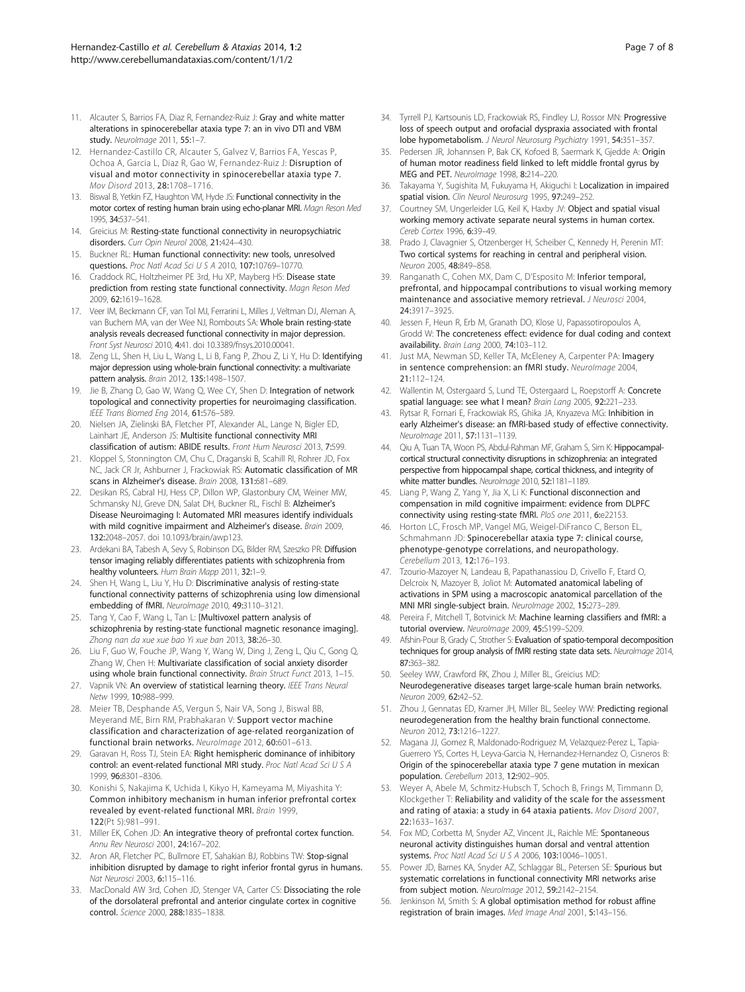- <span id="page-6-0"></span>11. Alcauter S, Barrios FA, Diaz R, Fernandez-Ruiz J: Gray and white matter alterations in spinocerebellar ataxia type 7: an in vivo DTI and VBM study. NeuroImage 2011, 55:1-7.
- 12. Hernandez-Castillo CR, Alcauter S, Galvez V, Barrios FA, Yescas P, Ochoa A, Garcia L, Diaz R, Gao W, Fernandez-Ruiz J: Disruption of visual and motor connectivity in spinocerebellar ataxia type 7. Mov Disord 2013, 28:1708–1716.
- 13. Biswal B, Yetkin FZ, Haughton VM, Hyde JS: Functional connectivity in the motor cortex of resting human brain using echo-planar MRI. Magn Reson Med 1995, 34:537–541.
- 14. Greicius M: Resting-state functional connectivity in neuropsychiatric disorders. Curr Opin Neurol 2008, 21:424–430.
- 15. Buckner RL: Human functional connectivity: new tools, unresolved questions. Proc Natl Acad Sci U S A 2010, 107:10769–10770.
- 16. Craddock RC, Holtzheimer PE 3rd, Hu XP, Mayberg HS: Disease state prediction from resting state functional connectivity. Magn Reson Med 2009, 62:1619–1628.
- 17. Veer IM, Beckmann CF, van Tol MJ, Ferrarini L, Milles J, Veltman DJ, Aleman A, van Buchem MA, van der Wee NJ, Rombouts SA: Whole brain resting-state analysis reveals decreased functional connectivity in major depression. Front Syst Neurosci 2010, 4:41. doi 10.3389/fnsys.2010.00041.
- 18. Zeng LL, Shen H, Liu L, Wang L, Li B, Fang P, Zhou Z, Li Y, Hu D: Identifying major depression using whole-brain functional connectivity: a multivariate pattern analysis. Brain 2012, 135:1498–1507.
- Jie B, Zhang D, Gao W, Wang Q, Wee CY, Shen D: Integration of network topological and connectivity properties for neuroimaging classification. IEEE Trans Biomed Eng 2014, 61:576-589.
- 20. Nielsen JA, Zielinski BA, Fletcher PT, Alexander AL, Lange N, Bigler ED, Lainhart JE, Anderson JS: Multisite functional connectivity MRI classification of autism: ABIDE results. Front Hum Neurosci 2013, 7:599.
- 21. Kloppel S, Stonnington CM, Chu C, Draganski B, Scahill RI, Rohrer JD, Fox NC, Jack CR Jr, Ashburner J, Frackowiak RS: Automatic classification of MR scans in Alzheimer's disease. Brain 2008, 131:681–689.
- 22. Desikan RS, Cabral HJ, Hess CP, Dillon WP, Glastonbury CM, Weiner MW, Schmansky NJ, Greve DN, Salat DH, Buckner RL, Fischl B: Alzheimer's Disease Neuroimaging I: Automated MRI measures identify individuals with mild cognitive impairment and Alzheimer's disease. Brain 2009, 132:2048–2057. doi 10.1093/brain/awp123.
- 23. Ardekani BA, Tabesh A, Sevy S, Robinson DG, Bilder RM, Szeszko PR: Diffusion tensor imaging reliably differentiates patients with schizophrenia from healthy volunteers. Hum Brain Mapp 2011, 32:1-9.
- 24. Shen H, Wang L, Liu Y, Hu D: Discriminative analysis of resting-state functional connectivity patterns of schizophrenia using low dimensional embedding of fMRI. NeuroImage 2010, 49:3110-3121.
- 25. Tang Y, Cao F, Wang L, Tan L: [Multivoxel pattern analysis of schizophrenia by resting-state functional magnetic resonance imaging]. Zhong nan da xue xue bao Yi xue ban 2013, 38:26-30.
- 26. Liu F, Guo W, Fouche JP, Wang Y, Wang W, Ding J, Zeng L, Qiu C, Gong Q, Zhang W, Chen H: Multivariate classification of social anxiety disorder using whole brain functional connectivity. Brain Struct Funct 2013, 1-15.
- 27. Vapnik VN: An overview of statistical learning theory. IEEE Trans Neural Netw 1999, 10:988–999.
- 28. Meier TB, Desphande AS, Vergun S, Nair VA, Song J, Biswal BB, Meyerand ME, Birn RM, Prabhakaran V: Support vector machine classification and characterization of age-related reorganization of functional brain networks. NeuroImage 2012, 60:601-613.
- 29. Garavan H, Ross TJ, Stein EA: Right hemispheric dominance of inhibitory control: an event-related functional MRI study. Proc Natl Acad Sci U S A 1999, 96:8301–8306.
- 30. Konishi S, Nakajima K, Uchida I, Kikyo H, Kameyama M, Miyashita Y: Common inhibitory mechanism in human inferior prefrontal cortex revealed by event-related functional MRI. Brain 1999, 122(Pt 5):981–991.
- 31. Miller EK, Cohen JD: An integrative theory of prefrontal cortex function. Annu Rev Neurosci 2001, 24:167–202.
- 32. Aron AR, Fletcher PC, Bullmore ET, Sahakian BJ, Robbins TW: Stop-signal inhibition disrupted by damage to right inferior frontal gyrus in humans. Nat Neurosci 2003, 6:115–116.
- 33. MacDonald AW 3rd, Cohen JD, Stenger VA, Carter CS: Dissociating the role of the dorsolateral prefrontal and anterior cingulate cortex in cognitive control. Science 2000, 288:1835–1838.
- 34. Tyrrell PJ, Kartsounis LD, Frackowiak RS, Findley LJ, Rossor MN: Progressive loss of speech output and orofacial dyspraxia associated with frontal lobe hypometabolism. J Neurol Neurosurg Psychiatry 1991, 54:351-357.
- 35. Pedersen JR, Johannsen P, Bak CK, Kofoed B, Saermark K, Gjedde A: Origin of human motor readiness field linked to left middle frontal gyrus by MEG and PET. NeuroImage 1998, 8:214–220.
- 36. Takayama Y, Sugishita M, Fukuyama H, Akiguchi I: Localization in impaired spatial vision. Clin Neurol Neurosurg 1995, 97:249-252.
- 37. Courtney SM, Ungerleider LG, Keil K, Haxby JV: Object and spatial visual working memory activate separate neural systems in human cortex. Cereb Cortex 1996, 6:39-49.
- 38. Prado J, Clavagnier S, Otzenberger H, Scheiber C, Kennedy H, Perenin MT: Two cortical systems for reaching in central and peripheral vision. Neuron 2005, 48:849–858.
- 39. Ranganath C, Cohen MX, Dam C, D'Esposito M: Inferior temporal, prefrontal, and hippocampal contributions to visual working memory maintenance and associative memory retrieval. J Neurosci 2004, 24:3917–3925.
- 40. Jessen F, Heun R, Erb M, Granath DO, Klose U, Papassotiropoulos A, Grodd W: The concreteness effect: evidence for dual coding and context availability. Brain Lang 2000, 74:103–112.
- Just MA, Newman SD, Keller TA, McEleney A, Carpenter PA: Imagery in sentence comprehension: an fMRI study. NeuroImage 2004, 21:112–124.
- 42. Wallentin M, Ostergaard S, Lund TE, Ostergaard L, Roepstorff A: Concrete spatial language: see what I mean? Brain Lang 2005, 92:221–233.
- 43. Rytsar R, Fornari E, Frackowiak RS, Ghika JA, Knyazeva MG: Inhibition in early Alzheimer's disease: an fMRI-based study of effective connectivity. NeuroImage 2011, 57:1131–1139.
- 44. Qiu A, Tuan TA, Woon PS, Abdul-Rahman MF, Graham S, Sim K: Hippocampalcortical structural connectivity disruptions in schizophrenia: an integrated perspective from hippocampal shape, cortical thickness, and integrity of white matter bundles. NeuroImage 2010, 52:1181-1189.
- 45. Liang P, Wang Z, Yang Y, Jia X, Li K: Functional disconnection and compensation in mild cognitive impairment: evidence from DLPFC connectivity using resting-state fMRI. PloS one 2011, 6:e22153.
- 46. Horton LC, Frosch MP, Vangel MG, Weigel-DiFranco C, Berson EL, Schmahmann JD: Spinocerebellar ataxia type 7: clinical course, phenotype-genotype correlations, and neuropathology. Cerebellum 2013, 12:176–193.
- 47. Tzourio-Mazoyer N, Landeau B, Papathanassiou D, Crivello F, Etard O, Delcroix N, Mazoyer B, Joliot M: Automated anatomical labeling of activations in SPM using a macroscopic anatomical parcellation of the MNI MRI single-subject brain. NeuroImage 2002, 15:273–289.
- 48. Pereira F, Mitchell T, Botvinick M: Machine learning classifiers and fMRI: a tutorial overview. NeuroImage 2009, 45:S199-S209.
- 49. Afshin-Pour B, Grady C, Strother S: Evaluation of spatio-temporal decomposition techniques for group analysis of fMRI resting state data sets. NeuroImage 2014, 87:363–382.
- Seeley WW, Crawford RK, Zhou J, Miller BL, Greicius MD: Neurodegenerative diseases target large-scale human brain networks. Neuron 2009, 62:42–52.
- 51. Zhou J, Gennatas ED, Kramer JH, Miller BL, Seeley WW: Predicting regional neurodegeneration from the healthy brain functional connectome. Neuron 2012, 73:1216–1227.
- 52. Magana JJ, Gomez R, Maldonado-Rodriguez M, Velazquez-Perez L, Tapia-Guerrero YS, Cortes H, Leyva-Garcia N, Hernandez-Hernandez O, Cisneros B: Origin of the spinocerebellar ataxia type 7 gene mutation in mexican population. Cerebellum 2013, 12:902–905.
- Weyer A, Abele M, Schmitz-Hubsch T, Schoch B, Frings M, Timmann D, Klockgether T: Reliability and validity of the scale for the assessment and rating of ataxia: a study in 64 ataxia patients. Mov Disord 2007, 22:1633–1637.
- 54. Fox MD, Corbetta M, Snyder AZ, Vincent JL, Raichle ME: Spontaneous neuronal activity distinguishes human dorsal and ventral attention systems. Proc Natl Acad Sci U S A 2006, 103:10046–10051.
- 55. Power JD, Barnes KA, Snyder AZ, Schlaggar BL, Petersen SE: Spurious but systematic correlations in functional connectivity MRI networks arise from subject motion. NeuroImage 2012, 59:2142-2154.
- 56. Jenkinson M, Smith S: A global optimisation method for robust affine registration of brain images. Med Image Anal 2001, 5:143–156.